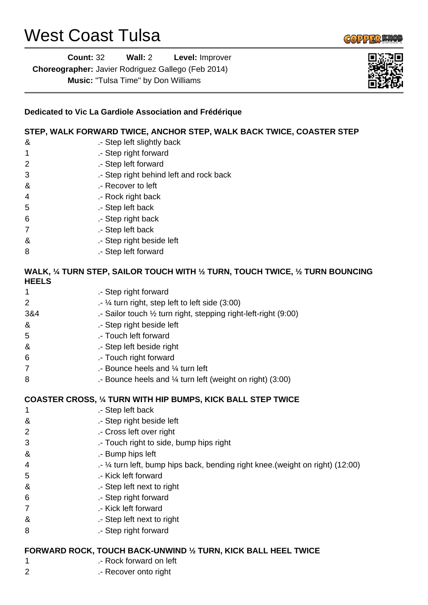## West Coast Tulsa

2 .- Recover onto right

|                | шr                                                                              |
|----------------|---------------------------------------------------------------------------------|
|                | Dedicated to Vic La Gardiole Association and Frédérique                         |
|                | STEP, WALK FORWARD TWICE, ANCHOR STEP, WALK BACK TWICE, COASTER STEP            |
| &              | .- Step left slightly back                                                      |
| 1              | .- Step right forward                                                           |
| $\overline{2}$ | .- Step left forward                                                            |
| 3              | .- Step right behind left and rock back                                         |
| &              | .- Recover to left                                                              |
| 4              | .- Rock right back                                                              |
| 5              | .- Step left back                                                               |
| 6              | .- Step right back                                                              |
| 7              | .- Step left back                                                               |
| &              | .- Step right beside left                                                       |
| 8              | .- Step left forward                                                            |
| <b>HEELS</b>   | WALK, 1/4 TURN STEP, SAILOR TOUCH WITH 1/2 TURN, TOUCH TWICE, 1/2 TURN BOUNCING |
| 1              | .- Step right forward                                                           |
| $\overline{2}$ | .- 1⁄4 turn right, step left to left side (3:00)                                |
| 3&4            | .- Sailor touch 1/2 turn right, stepping right-left-right (9:00)                |
| &              | .- Step right beside left                                                       |
| 5              | .- Touch left forward                                                           |
| &              | .- Step left beside right                                                       |
| 6              | .- Touch right forward                                                          |
| $\overline{7}$ | .- Bounce heels and 1/4 turn left                                               |
| 8              | .- Bounce heels and $\frac{1}{4}$ turn left (weight on right) (3:00)            |
|                | <b>COASTER CROSS, 1/4 TURN WITH HIP BUMPS, KICK BALL STEP TWICE</b>             |
| 1              | .- Step left back                                                               |
| &              | .- Step right beside left                                                       |
| 2              | .- Cross left over right                                                        |
| 3              | .- Touch right to side, bump hips right                                         |
| &              | .- Bump hips left                                                               |
| 4              | .- 1⁄4 turn left, bump hips back, bending right knee. (weight on right) (12:00) |
| 5              | .- Kick left forward                                                            |
| &              | .- Step left next to right                                                      |
| 6              | .- Step right forward                                                           |
| 7              | .- Kick left forward                                                            |
| &              | .- Step left next to right                                                      |
| 8              | .- Step right forward                                                           |
|                | FORWARD ROCK, TOUCH BACK-UNWIND 1/2 TURN, KICK BALL HEEL TWICE                  |
| 1              | .- Rock forward on left                                                         |
|                |                                                                                 |



**COPPER MOL**